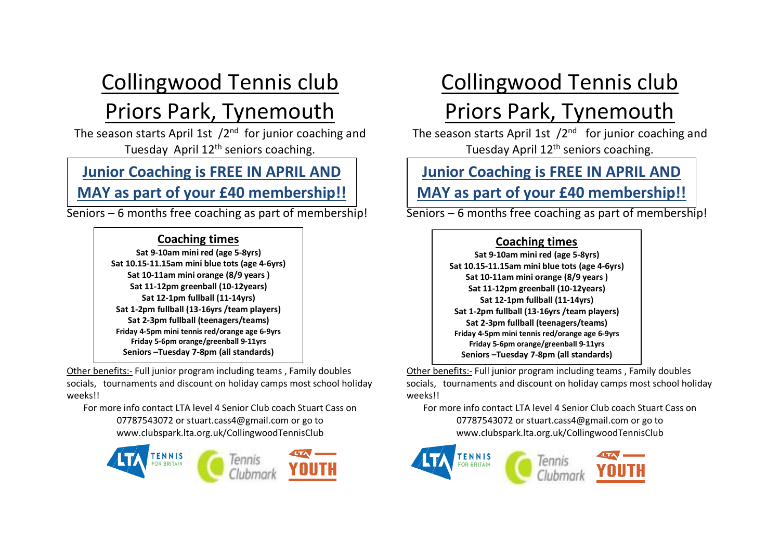## Collingwood Tennis club Priors Park, Tynemouth

The season starts April 1st /2<sup>nd</sup> for junior coaching and Tuesday April 12<sup>th</sup> seniors coaching.

#### **Junior Coaching is FREE IN APRIL AND MAY as part of your £40 membership!!**

Seniors – 6 months free coaching as part of membership!

#### **Coaching times**

**Sat 9-10am mini red (age 5-8yrs) Sat 10.15-11.15am mini blue tots (age 4-6yrs) Sat 10-11am mini orange (8/9 years ) Sat 11-12pm greenball (10-12years) Sat 12-1pm fullball (11-14yrs) Sat 1-2pm fullball (13-16yrs /team players) Sat 2-3pm fullball (teenagers/teams) Friday 4-5pm mini tennis red/orange age 6-9yrs Friday 5-6pm orange/greenball 9-11yrs Seniors –Tuesday 7-8pm (all standards)**

Other benefits:- Full junior program including teams , Family doubles socials, tournaments and discount on holiday camps most school holiday weeks!!

For more info contact LTA level 4 Senior Club coach Stuart Cass on 07787543072 or [stuart.cass4@gmail.com](mailto:stuart.cass4@gmail.com) or go to www.clubspark.lta.org.uk/CollingwoodTennisClub



# Collingwood Tennis club

## Priors Park, Tynemouth

The season starts April 1st /2<sup>nd</sup> for junior coaching and Tuesday April 12<sup>th</sup> seniors coaching.

# **Junior Coaching is FREE IN APRIL AND**

Seniors – 6 months free coaching as part of membership! **MAY as part of your £40 membership!!**

#### **Coaching times**

**Sat 9-10am mini red (age 5-8yrs) Sat 10.15-11.15am mini blue tots (age 4-6yrs) Sat 10-11am mini orange (8/9 years ) Sat 11-12pm greenball (10-12years) Sat 12-1pm fullball (11-14yrs) Sat 1-2pm fullball (13-16yrs /team players) Sat 2-3pm fullball (teenagers/teams) Friday 4-5pm mini tennis red/orange age 6-9yrs Friday 5-6pm orange/greenball 9-11yrs Seniors –Tuesday 7-8pm (all standards)**

Other benefits:- Full junior program including teams , Family doubles socials, tournaments and discount on holiday camps most school holiday weeks!!

For more info contact LTA level 4 Senior Club coach Stuart Cass on 07787543072 o[r stuart.cass4@gmail.com](mailto:stuart.cass4@gmail.com) or go to www.clubspark.lta.org.uk/CollingwoodTennisClub